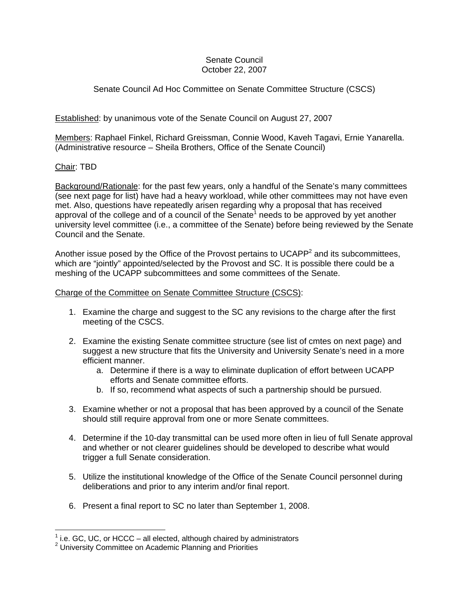#### Senate Council October 22, 2007

# Senate Council Ad Hoc Committee on Senate Committee Structure (CSCS)

## Established: by unanimous vote of the Senate Council on August 27, 2007

Members: Raphael Finkel, Richard Greissman, Connie Wood, Kaveh Tagavi, Ernie Yanarella. (Administrative resource – Sheila Brothers, Office of the Senate Council)

### Chair: TBD

 $\overline{a}$ 

Background/Rationale: for the past few years, only a handful of the Senate's many committees (see next page for list) have had a heavy workload, while other committees may not have even met. Also, questions have repeatedly arisen regarding why a proposal that has received approval of the college and of a council of the Senate<sup>1</sup> needs to be approved by yet another university level committee (i.e., a committee of the Senate) before being reviewed by the Senate Council and the Senate.

Another issue posed by the Office of the Provost pertains to UCAPP<sup>2</sup> and its subcommittees, which are "jointly" appointed/selected by the Provost and SC. It is possible there could be a meshing of the UCAPP subcommittees and some committees of the Senate.

#### Charge of the Committee on Senate Committee Structure (CSCS):

- 1. Examine the charge and suggest to the SC any revisions to the charge after the first meeting of the CSCS.
- 2. Examine the existing Senate committee structure (see list of cmtes on next page) and suggest a new structure that fits the University and University Senate's need in a more efficient manner.
	- a. Determine if there is a way to eliminate duplication of effort between UCAPP efforts and Senate committee efforts.
	- b. If so, recommend what aspects of such a partnership should be pursued.
- 3. Examine whether or not a proposal that has been approved by a council of the Senate should still require approval from one or more Senate committees.
- 4. Determine if the 10-day transmittal can be used more often in lieu of full Senate approval and whether or not clearer guidelines should be developed to describe what would trigger a full Senate consideration.
- 5. Utilize the institutional knowledge of the Office of the Senate Council personnel during deliberations and prior to any interim and/or final report.
- 6. Present a final report to SC no later than September 1, 2008.

<sup>&</sup>lt;sup>1</sup> i.e. GC, UC, or HCCC – all elected, although chaired by administrators  $\frac{2}{3}$  University Committee on Asademia Planning and Prierities

<sup>2</sup> University Committee on Academic Planning and Priorities